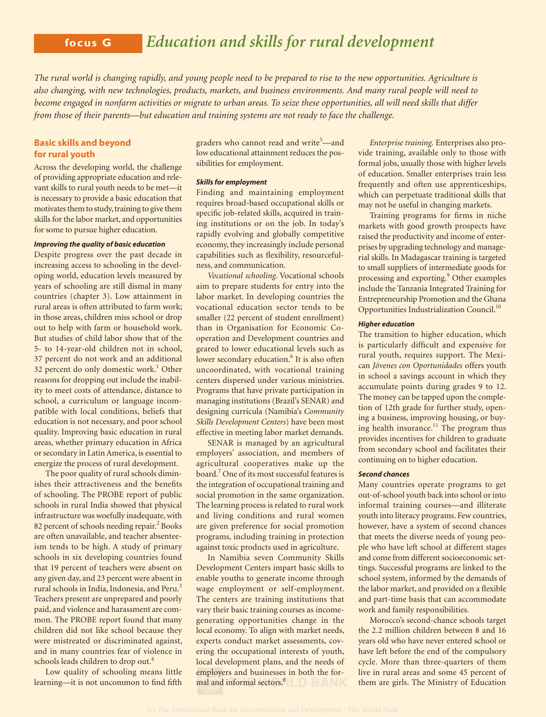# **focus G** *Education and skills for rural development*

*The rural world is changing rapidly, and young people need to be prepared to rise to the new opportunities. Agriculture is also changing, with new technologies, products, markets, and business environments. And many rural people will need to become engaged in nonfarm activities or migrate to urban areas. To seize these opportunities, all will need skills that differ from those of their parents—but education and training systems are not ready to face the challenge.*

## **Basic skills and beyond for rural youth**

Across the developing world, the challenge of providing appropriate education and relevant skills to rural youth needs to be met—it is necessary to provide a basic education that motivates them to study, training to give them skills for the labor market, and opportunities for some to pursue higher education.

## *Improving the quality of basic education*

Despite progress over the past decade in increasing access to schooling in the developing world, education levels measured by years of schooling are still dismal in many countries (chapter 3). Low attainment in rural areas is often attributed to farm work; in those areas, children miss school or drop out to help with farm or household work. But studies of child labor show that of the 5- to 14-year-old children not in school, 37 percent do not work and an additional 32 percent do only domestic work.<sup>1</sup> Other reasons for dropping out include the inability to meet costs of attendance, distance to school, a curriculum or language incompatible with local conditions, beliefs that education is not necessary, and poor school quality. Improving basic education in rural areas, whether primary education in Africa or secondary in Latin America, is essential to energize the process of rural development.

The poor quality of rural schools diminishes their attractiveness and the benefits of schooling. The PROBE report of public schools in rural India showed that physical infrastructure was woefully inadequate, with 82 percent of schools needing repair.<sup>2</sup> Books are often unavailable, and teacher absenteeism tends to be high. A study of primary schools in six developing countries found that 19 percent of teachers were absent on any given day, and 23 percent were absent in rural schools in India, Indonesia, and Peru.<sup>3</sup> Teachers present are unprepared and poorly paid, and violence and harassment are common. The PROBE report found that many children did not like school because they were mistreated or discriminated against, and in many countries fear of violence in schools leads children to drop out.<sup>4</sup>

Low quality of schooling means little learning—it is not uncommon to find fifth

graders who cannot read and write<sup>5</sup>—and low educational attainment reduces the possibilities for employment.

#### *Skills for employment*

Finding and maintaining employment requires broad-based occupational skills or specific job-related skills, acquired in training institutions or on the job. In today's rapidly evolving and globally competitive economy, they increasingly include personal capabilities such as flexibility, resourcefulness, and communication.

*Vocational schooling*. Vocational schools aim to prepare students for entry into the labor market. In developing countries the vocational education sector tends to be smaller (22 percent of student enrollment) than in Organisation for Economic Cooperation and Development countries and geared to lower educational levels such as lower secondary education.<sup>6</sup> It is also often uncoordinated, with vocational training centers dispersed under various ministries. Programs that have private participation in managing institutions (Brazil's SENAR) and designing curricula (Namibia's *Community Skills Development Centers*) have been most effective in meeting labor market demands.

SENAR is managed by an agricultural employers' association, and members of agricultural cooperatives make up the board.<sup>7</sup> One of its most successful features is the integration of occupational training and social promotion in the same organization. The learning process is related to rural work and living conditions and rural women are given preference for social promotion programs, including training in protection against toxic products used in agriculture.

In Namibia seven Community Skills Development Centers impart basic skills to enable youths to generate income through wage employment or self-employment. The centers are training institutions that vary their basic training courses as incomegenerating opportunities change in the local economy. To align with market needs, experts conduct market assessments, covering the occupational interests of youth, local development plans, and the needs of employers and businesses in both the formal and informal sectors.<sup>8</sup>

*Enterprise training.* Enterprises also provide training, available only to those with formal jobs, usually those with higher levels of education. Smaller enterprises train less frequently and often use apprenticeships, which can perpetuate traditional skills that may not be useful in changing markets.

Training programs for firms in niche markets with good growth prospects have raised the productivity and income of enterprises by upgrading technology and managerial skills. In Madagascar training is targeted to small suppliers of intermediate goods for processing and exporting.<sup>9</sup> Other examples include the Tanzania Integrated Training for Entrepreneurship Promotion and the Ghana Opportunities Industrialization Council.<sup>10</sup>

### *Higher education*

The transition to higher education, which is particularly difficult and expensive for rural youth, requires support. The Mexican *Jóvenes con Oportunidades* offers youth in school a savings account in which they accumulate points during grades 9 to 12. The money can be tapped upon the completion of 12th grade for further study, opening a business, improving housing, or buying health insurance.<sup>11</sup> The program thus provides incentives for children to graduate from secondary school and facilitates their continuing on to higher education.

#### *Second chances*

Many countries operate programs to get out-of-school youth back into school or into informal training courses—and illiterate youth into literacy programs. Few countries, however, have a system of second chances that meets the diverse needs of young people who have left school at different stages and come from different socioeconomic settings. Successful programs are linked to the school system, informed by the demands of the labor market, and provided on a flexible and part-time basis that can accommodate work and family responsibilities.

Morocco's second-chance schools target the 2.2 million children between 8 and 16 years old who have never entered school or have left before the end of the compulsory cycle. More than three-quarters of them live in rural areas and some 45 percent of them are girls. The Ministry of Education